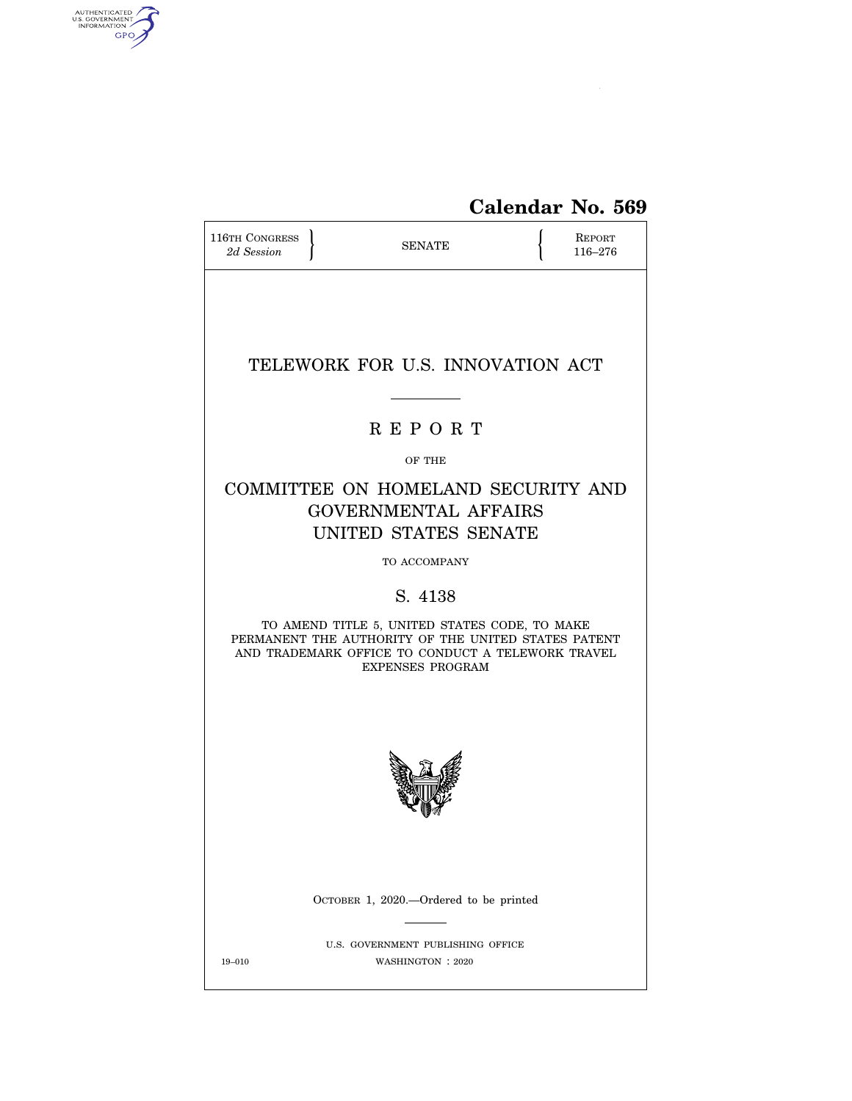

| <b>116TH CONGRESS</b><br>2d Session | <b>SENATE</b>                                                                                                                                                                        | <b>REPORT</b><br>116-276 |
|-------------------------------------|--------------------------------------------------------------------------------------------------------------------------------------------------------------------------------------|--------------------------|
|                                     | TELEWORK FOR U.S. INNOVATION ACT                                                                                                                                                     |                          |
|                                     | <b>REPORT</b>                                                                                                                                                                        |                          |
|                                     | OF THE                                                                                                                                                                               |                          |
|                                     | COMMITTEE ON HOMELAND SECURITY AND<br><b>GOVERNMENTAL AFFAIRS</b><br>UNITED STATES SENATE                                                                                            |                          |
|                                     | TO ACCOMPANY                                                                                                                                                                         |                          |
|                                     | S. 4138                                                                                                                                                                              |                          |
|                                     | TO AMEND TITLE 5, UNITED STATES CODE, TO MAKE<br>PERMANENT THE AUTHORITY OF THE UNITED STATES PATENT<br>AND TRADEMARK OFFICE TO CONDUCT A TELEWORK TRAVEL<br><b>EXPENSES PROGRAM</b> |                          |
|                                     |                                                                                                                                                                                      |                          |
|                                     | OCTOBER 1, 2020.—Ordered to be printed                                                                                                                                               |                          |
| 19-010                              | U.S. GOVERNMENT PUBLISHING OFFICE<br>WASHINGTON : 2020                                                                                                                               |                          |

AUTHENTICATED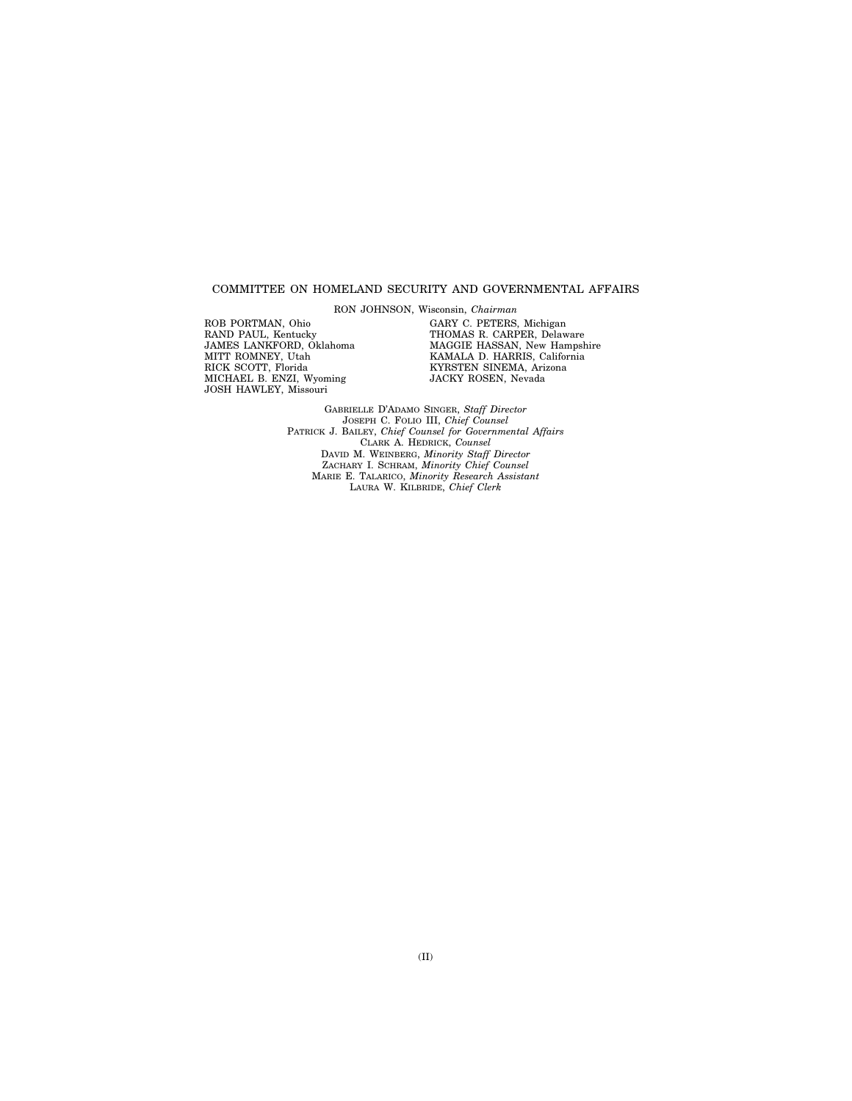#### COMMITTEE ON HOMELAND SECURITY AND GOVERNMENTAL AFFAIRS

RON JOHNSON, Wisconsin, *Chairman* 

ROB PORTMAN, Ohio RAND PAUL, Kentucky JAMES LANKFORD, Oklahoma MITT ROMNEY, Utah RICK SCOTT, Florida MICHAEL B. ENZI, Wyoming JOSH HAWLEY, Missouri

GARY C. PETERS, Michigan THOMAS R. CARPER, Delaware MAGGIE HASSAN, New Hampshire KAMALA D. HARRIS, California KYRSTEN SINEMA, Arizona JACKY ROSEN, Nevada

GABRIELLE D'ADAMO SINGER, *Staff Director*  JOSEPH C. FOLIO III, *Chief Counsel*  PATRICK J. BAILEY, *Chief Counsel for Governmental Affairs*  CLARK A. HEDRICK, *Counsel*  DAVID M. WEINBERG, *Minority Staff Director*  ZACHARY I. SCHRAM, *Minority Chief Counsel*  MARIE E. TALARICO, *Minority Research Assistant*  LAURA W. KILBRIDE, *Chief Clerk*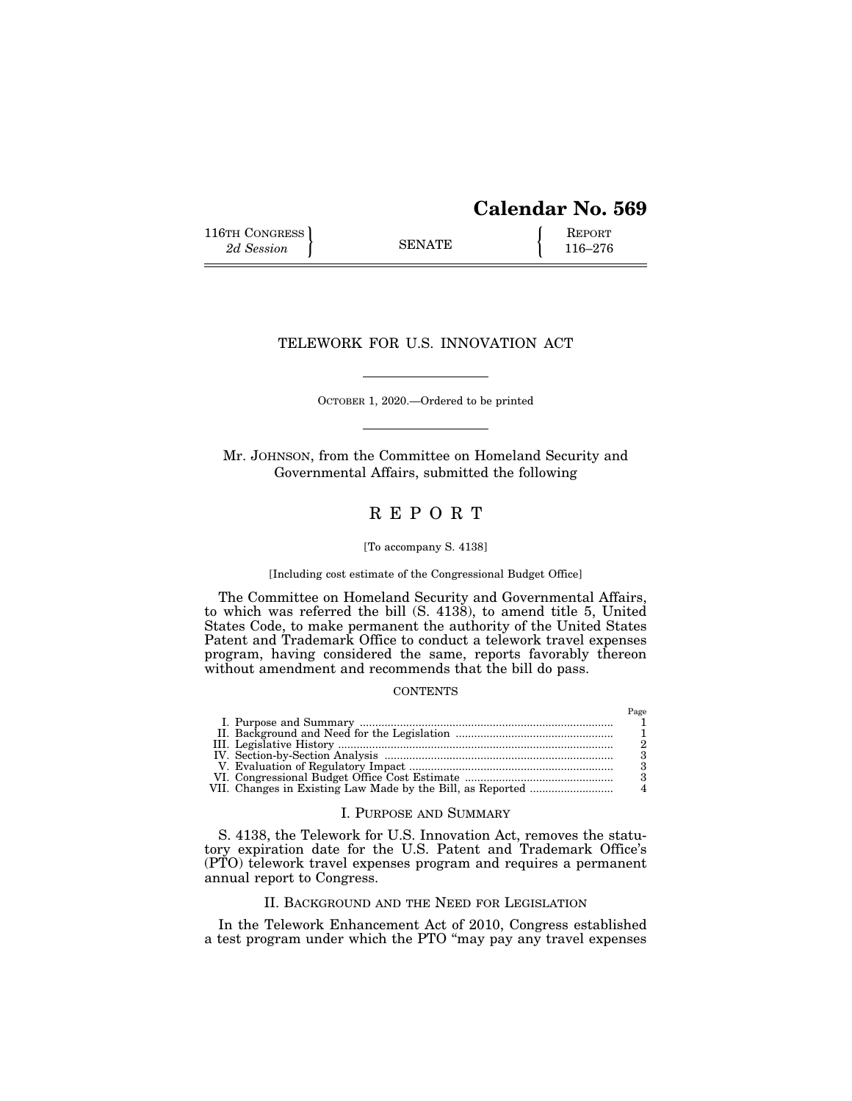# **Calendar No. 569**

 $P_{\alpha\alpha\beta}$ 

116TH CONGRESS **REPORT** 2d Session **116–276** 

## TELEWORK FOR U.S. INNOVATION ACT

OCTOBER 1, 2020.—Ordered to be printed

Mr. JOHNSON, from the Committee on Homeland Security and Governmental Affairs, submitted the following

## R E P O R T

#### [To accompany S. 4138]

#### [Including cost estimate of the Congressional Budget Office]

The Committee on Homeland Security and Governmental Affairs, to which was referred the bill  $(S. 413\&)$ , to amend title 5, United States Code, to make permanent the authority of the United States Patent and Trademark Office to conduct a telework travel expenses program, having considered the same, reports favorably thereon without amendment and recommends that the bill do pass.

#### **CONTENTS**

|  | 1 age |
|--|-------|
|  |       |
|  |       |
|  |       |
|  |       |
|  |       |
|  |       |
|  |       |

#### I. PURPOSE AND SUMMARY

S. 4138, the Telework for U.S. Innovation Act, removes the statutory expiration date for the U.S. Patent and Trademark Office's (PTO) telework travel expenses program and requires a permanent annual report to Congress.

### II. BACKGROUND AND THE NEED FOR LEGISLATION

In the Telework Enhancement Act of 2010, Congress established a test program under which the PTO ''may pay any travel expenses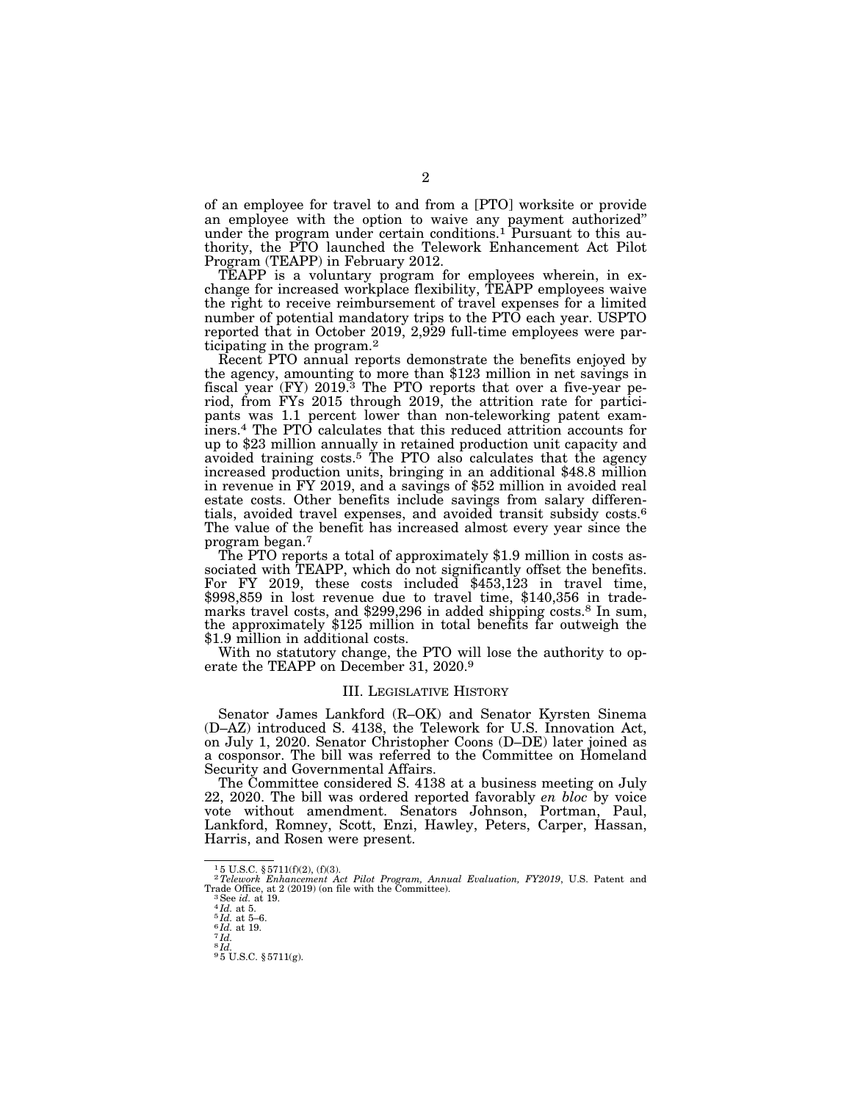of an employee for travel to and from a [PTO] worksite or provide an employee with the option to waive any payment authorized'' under the program under certain conditions.<sup>1</sup> Pursuant to this authority, the PTO launched the Telework Enhancement Act Pilot Program (TEAPP) in February 2012.

TEAPP is a voluntary program for employees wherein, in exchange for increased workplace flexibility, TEAPP employees waive the right to receive reimbursement of travel expenses for a limited number of potential mandatory trips to the PTO each year. USPTO reported that in October 2019, 2,929 full-time employees were participating in the program.2

Recent PTO annual reports demonstrate the benefits enjoyed by the agency, amounting to more than \$123 million in net savings in fiscal year (FY) 2019.3 The PTO reports that over a five-year period, from FYs 2015 through 2019, the attrition rate for participants was 1.1 percent lower than non-teleworking patent examiners.4 The PTO calculates that this reduced attrition accounts for up to \$23 million annually in retained production unit capacity and avoided training costs.5 The PTO also calculates that the agency increased production units, bringing in an additional \$48.8 million in revenue in FY 2019, and a savings of \$52 million in avoided real estate costs. Other benefits include savings from salary differentials, avoided travel expenses, and avoided transit subsidy costs.6 The value of the benefit has increased almost every year since the program began.7

The PTO reports a total of approximately \$1.9 million in costs associated with TEAPP, which do not significantly offset the benefits. For FY 2019, these costs included \$453,123 in travel time, \$998,859 in lost revenue due to travel time, \$140,356 in trademarks travel costs, and \$299,296 in added shipping costs.8 In sum, the approximately \$125 million in total benefits far outweigh the \$1.9 million in additional costs.

With no statutory change, the PTO will lose the authority to operate the TEAPP on December 31, 2020.9

#### III. LEGISLATIVE HISTORY

Senator James Lankford (R–OK) and Senator Kyrsten Sinema (D–AZ) introduced S. 4138, the Telework for U.S. Innovation Act, on July 1, 2020. Senator Christopher Coons (D–DE) later joined as a cosponsor. The bill was referred to the Committee on Homeland Security and Governmental Affairs.

The Committee considered S. 4138 at a business meeting on July 22, 2020. The bill was ordered reported favorably *en bloc* by voice vote without amendment. Senators Johnson, Portman, Paul, Lankford, Romney, Scott, Enzi, Hawley, Peters, Carper, Hassan, Harris, and Rosen were present.

<sup>1</sup> 5 U.S.C. § 5711(f)(2), (f)(3).

<sup>&</sup>lt;sup>2</sup>Telework Enhancement Act Pilot Program, Annual Evaluation, FY2019, U.S. Patent and Trade Office, at 2 (2019) (on file with the Committee).<br><sup>3</sup>See id. at 19.<br><sup>4</sup>Id. at 5-6.<br><sup>5</sup>Id. at 5-6.<br><sup>5</sup>Id. at 19.<br><sup>7</sup>Id.

 $\frac{7}{8}$  *Id.*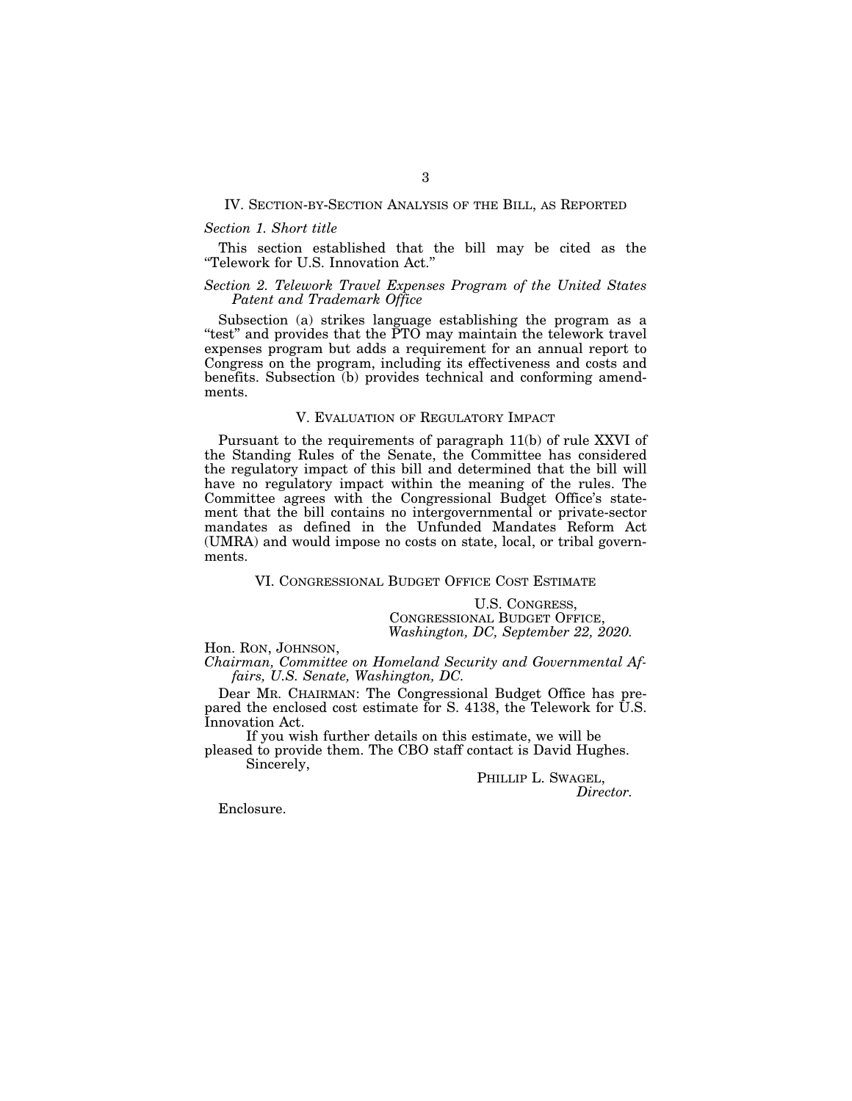#### IV. SECTION-BY-SECTION ANALYSIS OF THE BILL, AS REPORTED

#### *Section 1. Short title*

This section established that the bill may be cited as the ''Telework for U.S. Innovation Act.''

#### *Section 2. Telework Travel Expenses Program of the United States Patent and Trademark Office*

Subsection (a) strikes language establishing the program as a "test" and provides that the PTO may maintain the telework travel expenses program but adds a requirement for an annual report to Congress on the program, including its effectiveness and costs and benefits. Subsection (b) provides technical and conforming amendments.

#### V. EVALUATION OF REGULATORY IMPACT

Pursuant to the requirements of paragraph 11(b) of rule XXVI of the Standing Rules of the Senate, the Committee has considered the regulatory impact of this bill and determined that the bill will have no regulatory impact within the meaning of the rules. The Committee agrees with the Congressional Budget Office's statement that the bill contains no intergovernmental or private-sector mandates as defined in the Unfunded Mandates Reform Act (UMRA) and would impose no costs on state, local, or tribal governments.

VI. CONGRESSIONAL BUDGET OFFICE COST ESTIMATE

U.S. CONGRESS, CONGRESSIONAL BUDGET OFFICE, *Washington, DC, September 22, 2020.* 

Hon. RON, JOHNSON,<br>*Chairman, Committee on Homeland Security and Governmental Affairs, U.S. Senate, Washington, DC.* 

Dear MR. CHAIRMAN: The Congressional Budget Office has prepared the enclosed cost estimate for S. 4138, the Telework for U.S. Innovation Act.

If you wish further details on this estimate, we will be pleased to provide them. The CBO staff contact is David Hughes. Sincerely,

PHILLIP L. SWAGEL, *Director.* 

Enclosure.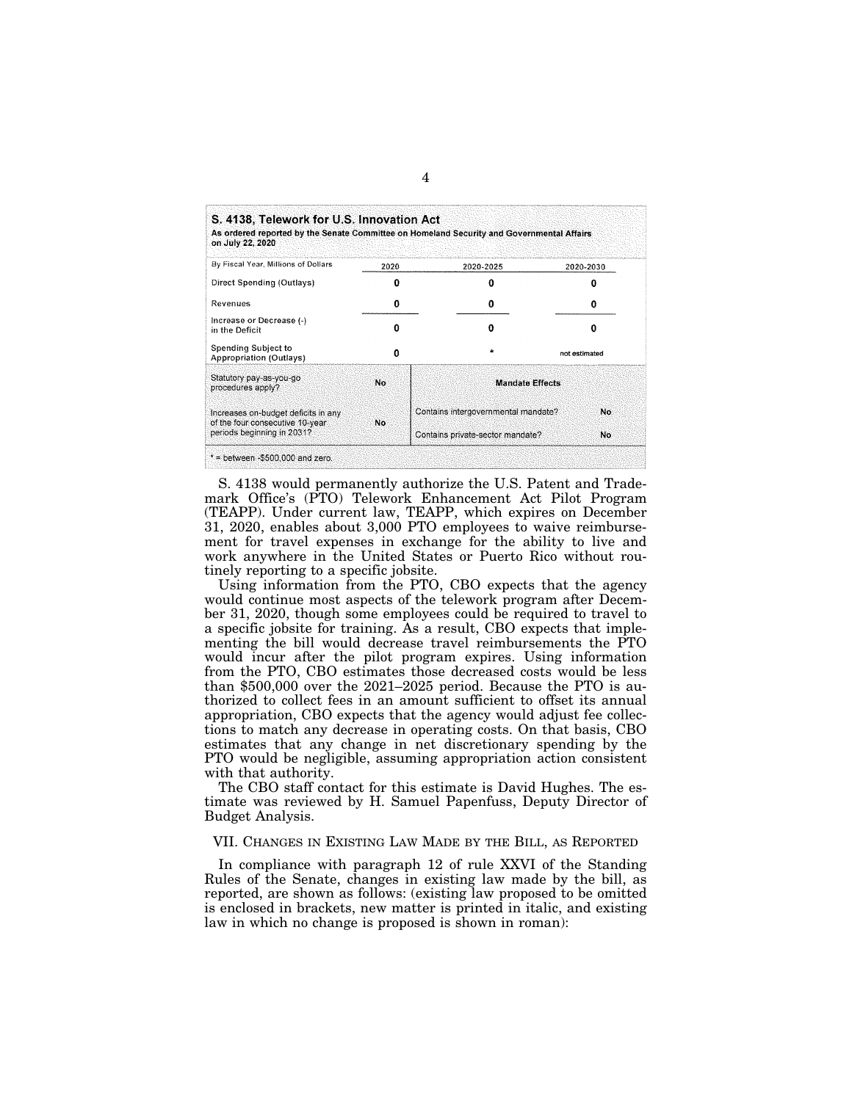| As ordered reported by the Senate Committee on Homeland Security and Governmental Affairs<br>on July 22, 2020 |      |                                     |               |
|---------------------------------------------------------------------------------------------------------------|------|-------------------------------------|---------------|
| By Fiscal Year, Millions of Dollars                                                                           | 2020 | 2020-2025                           | 2020-2030     |
| Direct Spending (Outlays)                                                                                     | о    |                                     |               |
| Revenues                                                                                                      | 0    | Ω                                   | n             |
| Increase or Decrease (-)<br>in the Deficit                                                                    | n    | n                                   | o             |
| Spending Subject to<br><b>Appropriation (Outlays)</b>                                                         | Λ    | $\star$                             | not estimated |
| Statutory pay-as-you-go<br>procedures apply?                                                                  | No   | <b>Mandate Effects</b>              |               |
| Increases on-budget deficits in any<br>of the four consecutive 10-year                                        | No   | Contains intergovernmental mandate? | No            |
| periods beginning in 2031?                                                                                    |      | Contains private-sector mandate?    | No.           |

S. 4138 would permanently authorize the U.S. Patent and Trademark Office's (PTO) Telework Enhancement Act Pilot Program (TEAPP). Under current law, TEAPP, which expires on December 31, 2020, enables about 3,000 PTO employees to waive reimbursement for travel expenses in exchange for the ability to live and work anywhere in the United States or Puerto Rico without routinely reporting to a specific jobsite.

Using information from the PTO, CBO expects that the agency would continue most aspects of the telework program after December 31, 2020, though some employees could be required to travel to a specific jobsite for training. As a result, CBO expects that implementing the bill would decrease travel reimbursements the PTO would incur after the pilot program expires. Using information from the PTO, CBO estimates those decreased costs would be less than \$500,000 over the 2021–2025 period. Because the PTO is authorized to collect fees in an amount sufficient to offset its annual appropriation, CBO expects that the agency would adjust fee collections to match any decrease in operating costs. On that basis, CBO estimates that any change in net discretionary spending by the PTO would be negligible, assuming appropriation action consistent with that authority.

The CBO staff contact for this estimate is David Hughes. The estimate was reviewed by H. Samuel Papenfuss, Deputy Director of Budget Analysis.

## VII. CHANGES IN EXISTING LAW MADE BY THE BILL, AS REPORTED

In compliance with paragraph 12 of rule XXVI of the Standing Rules of the Senate, changes in existing law made by the bill, as reported, are shown as follows: (existing law proposed to be omitted is enclosed in brackets, new matter is printed in italic, and existing law in which no change is proposed is shown in roman):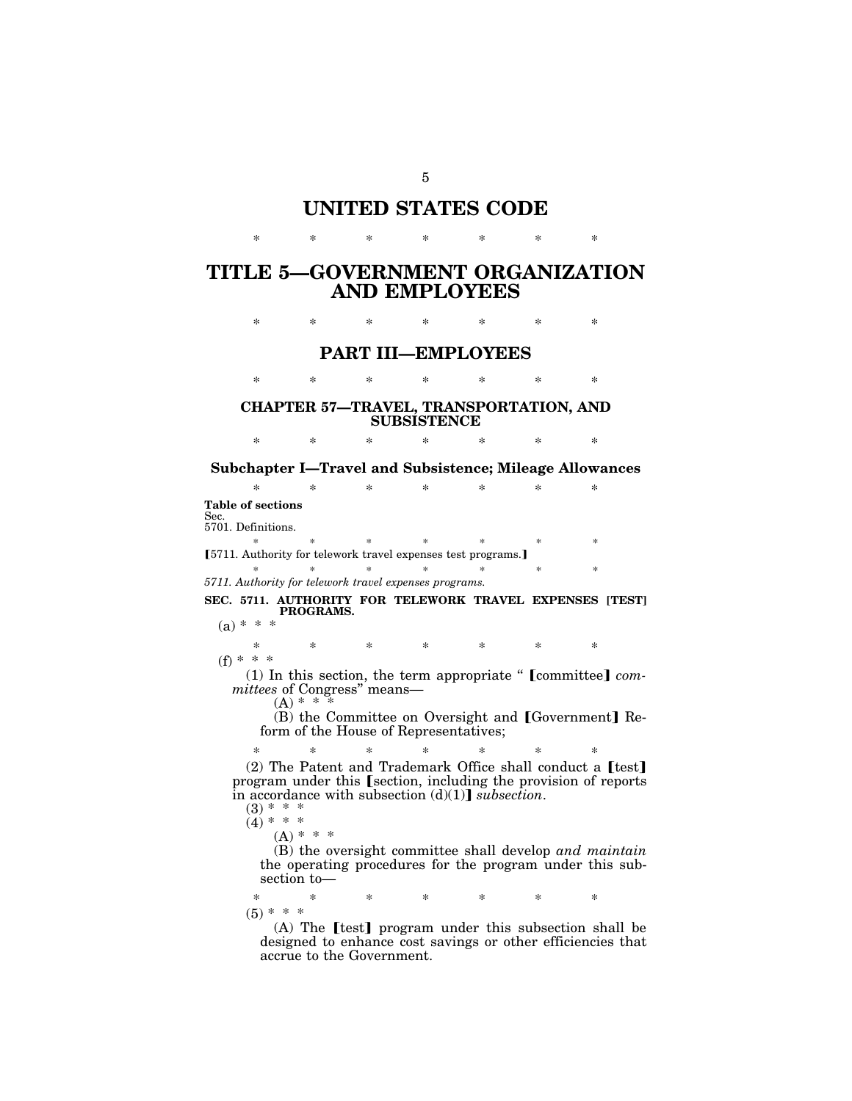# **UNITED STATES CODE**

\* \* \* \* \* \* \*

# **TITLE 5—GOVERNMENT ORGANIZATION AND EMPLOYEES**

\* \* \* \* \* \* \*

## **PART III—EMPLOYEES**

\* \* \* \* \* \* \*

## **CHAPTER 57—TRAVEL, TRANSPORTATION, AND SUBSISTENCE**

\* \* \* \* \* \* \* **Subchapter I—Travel and Subsistence; Mileage Allowances** 

\* \* \* \* \* \* \* **Table of sections**  Sec. 5701. Definitions. \* \* \* \* \* \* \* ø5711. Authority for telework travel expenses test programs.¿ \* \* \* \* \* \* \* \* *5711. Authority for telework travel expenses programs.*  **SEC. 5711. AUTHORITY FOR TELEWORK TRAVEL EXPENSES [TEST] PROGRAMS.**   $(a) * * *$ \* \* \* \* \* \* \*  $(f) * * * *$ (1) In this section, the term appropriate " [committee] *committees* of Congress'' means—  $(A) * *$  $(B)$  the Committee on Oversight and [Government] Reform of the House of Representatives; \* \* \* \* \* \* \* (2) The Patent and Trademark Office shall conduct a øtest¿ program under this [section, including the provision of reports in accordance with subsection  $(d)(1)$  *subsection*.  $(3) * * *$  $(4) * * *$  $(A) * * * *$ (B) the oversight committee shall develop *and maintain*  the operating procedures for the program under this subsection to— \* \* \* \* \* \* \*

 $(5) * * *$  $(A)$  The [test] program under this subsection shall be

designed to enhance cost savings or other efficiencies that accrue to the Government.

5